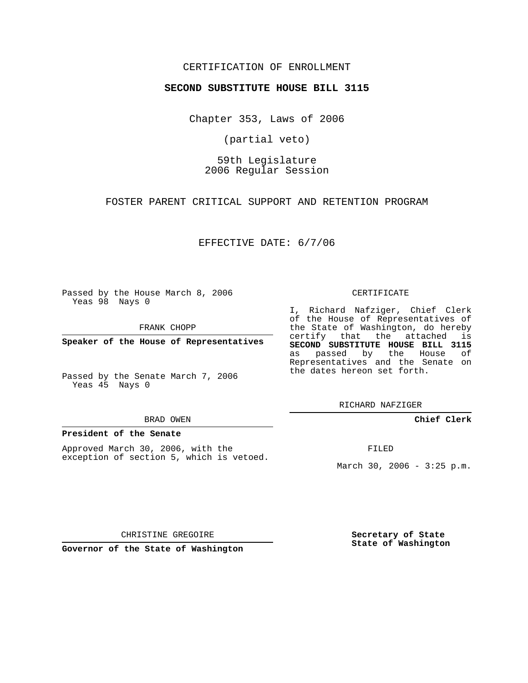## CERTIFICATION OF ENROLLMENT

### **SECOND SUBSTITUTE HOUSE BILL 3115**

Chapter 353, Laws of 2006

(partial veto)

59th Legislature 2006 Regular Session

FOSTER PARENT CRITICAL SUPPORT AND RETENTION PROGRAM

EFFECTIVE DATE: 6/7/06

Passed by the House March 8, 2006 Yeas 98 Nays 0

FRANK CHOPP

**Speaker of the House of Representatives**

Passed by the Senate March 7, 2006 Yeas 45 Nays 0

#### BRAD OWEN

### **President of the Senate**

Approved March 30, 2006, with the exception of section 5, which is vetoed.

#### CERTIFICATE

I, Richard Nafziger, Chief Clerk of the House of Representatives of the State of Washington, do hereby certify that the attached is **SECOND SUBSTITUTE HOUSE BILL 3115** as passed by the House of Representatives and the Senate on the dates hereon set forth.

RICHARD NAFZIGER

**Chief Clerk**

FILED

March 30, 2006 - 3:25 p.m.

CHRISTINE GREGOIRE

**Governor of the State of Washington**

**Secretary of State State of Washington**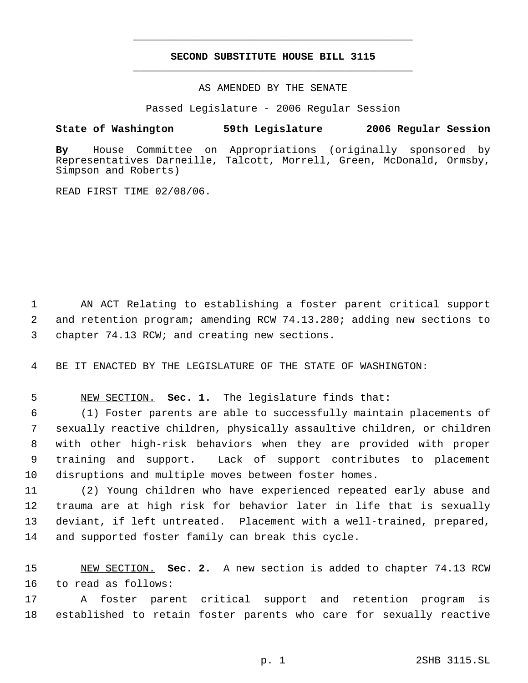# **SECOND SUBSTITUTE HOUSE BILL 3115** \_\_\_\_\_\_\_\_\_\_\_\_\_\_\_\_\_\_\_\_\_\_\_\_\_\_\_\_\_\_\_\_\_\_\_\_\_\_\_\_\_\_\_\_\_

\_\_\_\_\_\_\_\_\_\_\_\_\_\_\_\_\_\_\_\_\_\_\_\_\_\_\_\_\_\_\_\_\_\_\_\_\_\_\_\_\_\_\_\_\_

AS AMENDED BY THE SENATE

Passed Legislature - 2006 Regular Session

# **State of Washington 59th Legislature 2006 Regular Session**

**By** House Committee on Appropriations (originally sponsored by Representatives Darneille, Talcott, Morrell, Green, McDonald, Ormsby, Simpson and Roberts)

READ FIRST TIME 02/08/06.

 AN ACT Relating to establishing a foster parent critical support and retention program; amending RCW 74.13.280; adding new sections to chapter 74.13 RCW; and creating new sections.

BE IT ENACTED BY THE LEGISLATURE OF THE STATE OF WASHINGTON:

NEW SECTION. **Sec. 1.** The legislature finds that:

 (1) Foster parents are able to successfully maintain placements of sexually reactive children, physically assaultive children, or children with other high-risk behaviors when they are provided with proper training and support. Lack of support contributes to placement disruptions and multiple moves between foster homes.

 (2) Young children who have experienced repeated early abuse and trauma are at high risk for behavior later in life that is sexually deviant, if left untreated. Placement with a well-trained, prepared, and supported foster family can break this cycle.

 NEW SECTION. **Sec. 2.** A new section is added to chapter 74.13 RCW to read as follows:

 A foster parent critical support and retention program is established to retain foster parents who care for sexually reactive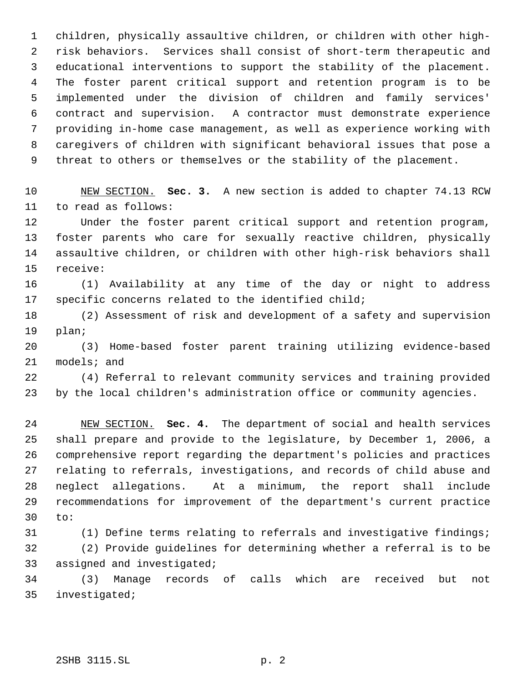children, physically assaultive children, or children with other high- risk behaviors. Services shall consist of short-term therapeutic and educational interventions to support the stability of the placement. The foster parent critical support and retention program is to be implemented under the division of children and family services' contract and supervision. A contractor must demonstrate experience providing in-home case management, as well as experience working with caregivers of children with significant behavioral issues that pose a threat to others or themselves or the stability of the placement.

 NEW SECTION. **Sec. 3.** A new section is added to chapter 74.13 RCW to read as follows:

 Under the foster parent critical support and retention program, foster parents who care for sexually reactive children, physically assaultive children, or children with other high-risk behaviors shall receive:

 (1) Availability at any time of the day or night to address specific concerns related to the identified child;

 (2) Assessment of risk and development of a safety and supervision plan;

 (3) Home-based foster parent training utilizing evidence-based models; and

 (4) Referral to relevant community services and training provided by the local children's administration office or community agencies.

 NEW SECTION. **Sec. 4.** The department of social and health services shall prepare and provide to the legislature, by December 1, 2006, a comprehensive report regarding the department's policies and practices relating to referrals, investigations, and records of child abuse and neglect allegations. At a minimum, the report shall include recommendations for improvement of the department's current practice to:

 (1) Define terms relating to referrals and investigative findings; (2) Provide guidelines for determining whether a referral is to be assigned and investigated;

 (3) Manage records of calls which are received but not investigated;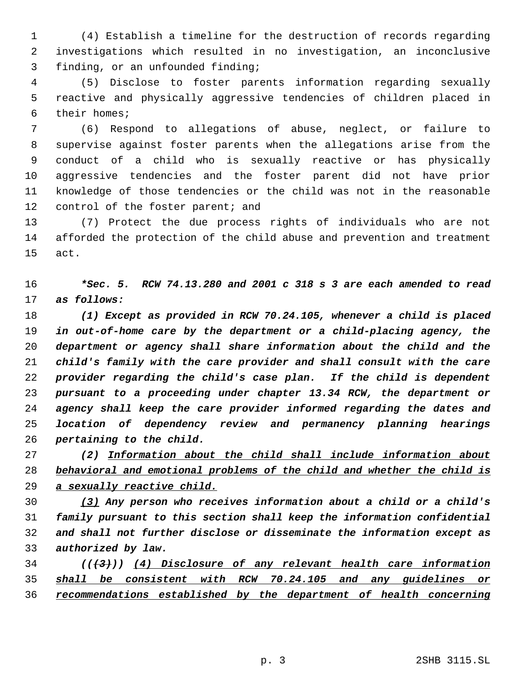(4) Establish a timeline for the destruction of records regarding investigations which resulted in no investigation, an inconclusive finding, or an unfounded finding;

 (5) Disclose to foster parents information regarding sexually reactive and physically aggressive tendencies of children placed in their homes;

 (6) Respond to allegations of abuse, neglect, or failure to supervise against foster parents when the allegations arise from the conduct of a child who is sexually reactive or has physically aggressive tendencies and the foster parent did not have prior knowledge of those tendencies or the child was not in the reasonable 12 control of the foster parent; and

 (7) Protect the due process rights of individuals who are not afforded the protection of the child abuse and prevention and treatment act.

 *\*Sec. 5. RCW 74.13.280 and 2001 c 318 s 3 are each amended to read as follows:*

 *(1) Except as provided in RCW 70.24.105, whenever a child is placed in out-of-home care by the department or a child-placing agency, the department or agency shall share information about the child and the child's family with the care provider and shall consult with the care provider regarding the child's case plan. If the child is dependent pursuant to a proceeding under chapter 13.34 RCW, the department or agency shall keep the care provider informed regarding the dates and location of dependency review and permanency planning hearings pertaining to the child.*

 *(2) Information about the child shall include information about behavioral and emotional problems of the child and whether the child is a sexually reactive child.*

 *(3) Any person who receives information about a child or a child's family pursuant to this section shall keep the information confidential and shall not further disclose or disseminate the information except as authorized by law.*

 *(((3))) (4) Disclosure of any relevant health care information shall be consistent with RCW 70.24.105 and any guidelines or recommendations established by the department of health concerning*